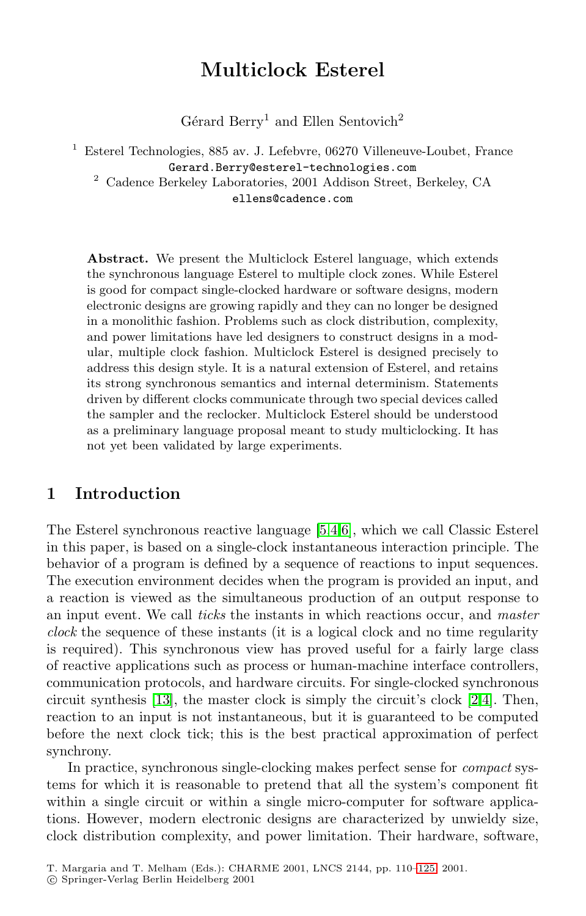# **Multiclock Esterel**

Gérard Berry<sup>1</sup> and Ellen Sentovich<sup>2</sup>

<sup>1</sup> Esterel Technologies, 885 av. J. Lefebvre, 06270 Villeneuve-Loubet, France Gerard.Berry@esterel-technologies.com <sup>2</sup> Cadence Berkeley Laboratories, 2001 Addison Street, Berkeley, CA

ellens@cadence.com

**Abstract.** We present the Multiclock Esterel language, which extends the synchronous language Esterel to multiple clock zones. While Esterel is good for compact single-clocked hardware or software designs, modern electronic designs are growing rapidly and they can no longer be designed in a monolithic fashion. Problems such as clock distribution, complexity, and power limitations have led designers to construct designs in a modular, multiple [clock f](#page-15-0)ashion. Multiclock Esterel is designed precisely to address this design style. It is a natural extension of Esterel, and retains its strong synchronous semantics and internal determinism. Statements driven by different clocks communicate through two special devices called the sampler and the reclocker. Multiclock Esterel should be understood as a preliminary language proposal meant to study multiclocking. It has not yet been validated by large experiments.

## **1 Introduction**

The Esterel synchronous reactive language [[5,4,6](#page-15-0)], which we call Classic Esterel in this paper, is based on a single-clock instantaneous interaction principle. The behavior of a program is defined by a sequence of reactions to input sequences. The execution environment decides when the program is provided an input, and a reaction is viewed as the simultaneous production of an output response to an input event. We call ticks the instants in which reactions occur, and master clock the sequence of these instants (it is a logical clock and no time regularity is required). This synchronous view has proved useful for a fairly large class of reactive applications such as process or human-machine interface controllers, communication protocols, and hardware circuits. For single-clocked synchronous circuit synthesis [13], the master cl[ock](#page-15-0) [i](#page-15-0)s simply the circuit's clock [2,4]. Then, reaction to an input is not instantaneous, but it is guaranteed to be computed before the next clock tick; this is the best practical approximation of perfect synchrony.

In practice, synchronous single-clocking makes perfect sense for compact systems for which it is reasonable to pretend that all the system's component fit within a single circuit or within a single micro-computer for software applications. However, modern electronic designs are characterized by unwieldy size, clock distribution complexity, and power limitation. Their hardware, software,

T. Margaria and T. Melham (Eds.): CHARME 2001, LNCS 2144, pp. 110–125, 2001.

c Springer-Verlag Berlin Heidelberg 2001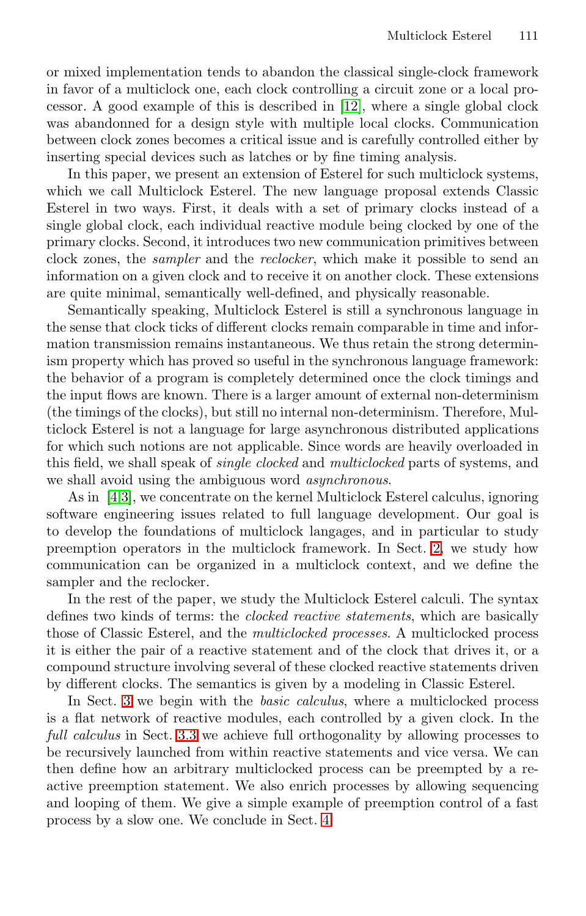or mixed implementation tends to abandon the classical single-clock framework in favor of a multiclock one, each clock controlling a circuit zone or a local processor. A good example of this is described in [\[12\]](#page-15-0), where a single global clock was abandonned for a design style with multiple local clocks. Communication between clock zones becomes a critical issue and is carefully controlled either by inserting special devices such as latches or by fine timing analysis.

In this paper, we present an extension of Esterel for such multiclock systems, which we call Multiclock Esterel. The new language proposal extends Classic Esterel in two ways. First, it deals with a set of primary clocks instead of a single global clock, each individual reactive module being clocked by one of the primary clocks. Second, it introduces two new communication primitives between clock zones, the sampler and the reclocker, which make it possible to send an information on a given clock and to receive it on another clock. These extensions are quite minimal, semantically well-defined, and physically reasonable.

Semantically speaking, Multiclock Esterel is still a synchronous language in the sense that clock ticks of different clocks remain comparable in time and information transmission remains instantaneous. We thus retain the strong determinism property which has proved so useful in the synchronous language framework: the behavior of a program is completely determined once the clock timings and the input flows are known. There is a larger amount of external non-determinism (the timings of the clocks), but still no internal non-determinism. Therefore, Multiclock Esterel is not a language for large asynchronous distributed applications for which such notions are not applicable. Since words are heavily overloaded in this field, we shall speak of *single clocked* and *multiclocked* parts of systems, and we shall avoid using the ambiguous word *asynchronous*.

As in [\[4,3\]](#page-15-0), we concentrate on the kernel Multiclock Esterel calculus, ignoring software engineering issues related to full language development. Our goal is to develop the foundations of multiclock langages, and in particular to study preemption operators in the multiclock framework. In Sect. [2,](#page-2-0) we study how communication can be organized in a multiclock context, and we define the sampler and the reclocker.

In the rest of the paper, we study the Multiclock Esterel calculi. The syntax defines two kinds of terms: the clocked reactive statements, which are basically those of Classic Esterel, and the multiclocked processes. A multiclocked process it is either the pair of a reactive statement and of the clock that drives it, or a compound structure involving several of these clocked reactive statements driven by different clocks. The semantics is given by a modeling in Classic Esterel.

In Sect. [3](#page-7-0) we begin with the *basic calculus*, where a multiclocked process is a flat network of reactive modules, each controlled by a given clock. In the full calculus in Sect. [3.3](#page-11-0) we achieve full orthogonality by allowing processes to be recursively launched from within reactive statements and vice versa. We can then define how an arbitrary multiclocked process can be preempted by a reactive preemption statement. We also enrich processes by allowing sequencing and looping of them. We give a simple example of preemption control of a fast process by a slow one. We conclude in Sect. [4.](#page-14-0)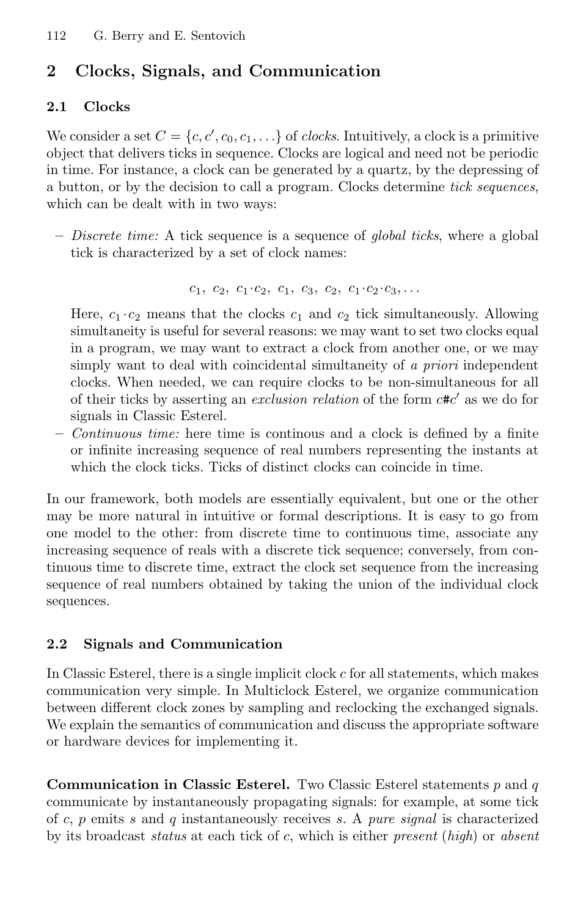# <span id="page-2-0"></span>**2 Clocks, Signals, and Communication**

## **2.1 Clocks**

We consider a set  $C = \{c, c', c_0, c_1, \ldots\}$  of *clocks*. Intuitively, a clock is a primitive object that delivers ticks in sequence. Clocks are logical and need not be periodic in time. For instance, a clock can be generated by a quartz, by the depressing of a button, or by the decision to call a program. Clocks determine tick sequences, which can be dealt with in two ways:

**–** Discrete time: A tick sequence is a sequence of global ticks, where a global tick is characterized by a set of clock names:

$$
c_1, c_2, c_1 \cdot c_2, c_1, c_3, c_2, c_1 \cdot c_2 \cdot c_3, \ldots
$$

Here,  $c_1 \cdot c_2$  means that the clocks  $c_1$  and  $c_2$  tick simultaneously. Allowing simultaneity is useful for several reasons: we may want to set two clocks equal in a program, we may want to extract a clock from another one, or we may simply want to deal with coincidental simultaneity of a priori independent clocks. When needed, we can require clocks to be non-simultaneous for all of their ticks by asserting an *exclusion relation* of the form  $c \# c'$  as we do for signals in Classic Esterel.

**–** Continuous time: here time is continous and a clock is defined by a finite or infinite increasing sequence of real numbers representing the instants at which the clock ticks. Ticks of distinct clocks can coincide in time.

In our framework, both models are essentially equivalent, but one or the other may be more natural in intuitive or formal descriptions. It is easy to go from one model to the other: from discrete time to continuous time, associate any increasing sequence of reals with a discrete tick sequence; conversely, from continuous time to discrete time, extract the clock set sequence from the increasing sequence of real numbers obtained by taking the union of the individual clock sequences.

## **2.2 Signals and Communication**

In Classic Esterel, there is a single implicit clock c for all statements, which makes communication very simple. In Multiclock Esterel, we organize communication between different clock zones by sampling and reclocking the exchanged signals. We explain the semantics of communication and discuss the appropriate software or hardware devices for implementing it.

**Communication in Classic Esterel.** Two Classic Esterel statements  $p$  and  $q$ communicate by instantaneously propagating signals: for example, at some tick of c, p emits s and q instantaneously receives s. A pure signal is characterized by its broadcast status at each tick of c, which is either present (high) or absent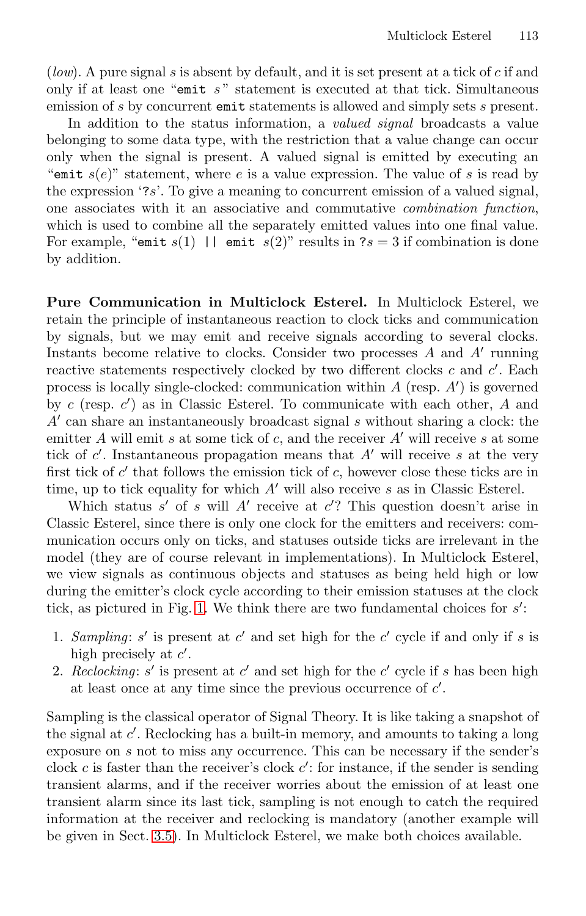<span id="page-3-0"></span> $(low)$ . A pure signal s is absent by default, and it is set present at a tick of c if and only if at least one "emit  $s$ " statement is executed at that tick. Simultaneous emission of s by concurrent emit statements is allowed and simply sets s present.

In addition to the status information, a *valued signal* broadcasts a value belonging to some data type, with the restriction that a value change can occur only when the signal is present. A valued signal is emitted by executing an "emit  $s(e)$ " statement, where e is a value expression. The value of s is read by the expression '?s'. To give a meaning to concurrent emission of a valued signal, one associates with it an associative and commutative combination function, which is used to combine all the separately emitted values into one final value. For example, "emit  $s(1)$  || emit  $s(2)$ " results in ?s = 3 if combination is done by addition.

**Pure Communication in Multiclock Esterel.** In Multiclock Esterel, we retain the principle of instantaneous reaction to clock ticks and communication by signals, but we may emit and receive signals according to several clocks. Instants become relative to clocks. Consider two processes  $A$  and  $A'$  running reactive statements respectively clocked by two different clocks  $c$  and  $c'$ . Each process is locally single-clocked: communication within  $A$  (resp.  $A'$ ) is governed by  $c$  (resp.  $c'$ ) as in Classic Esterel. To communicate with each other,  $A$  and  $A'$  can share an instantaneously broadcast signal s without sharing a clock: the emitter A will emit s at some tick of c, and the receiver  $A'$  will receive s at some tick of  $c'$ . Instantaneous propagation means that  $A'$  will receive s at the very first tick of  $c'$  that follows the emission tick of  $c$ , however close these ticks are in time, up to tick equality for which  $A'$  will also receive s as in Classic Esterel.

Which status s' of s will A' receive at  $c$ ? This question doesn't arise in Classic Esterel, since there is only one clock for the emitters and receivers: communication occurs only on ticks, and statuses outside ticks are irrelevant in the model (they are of course relevant in implementations). In Multiclock Esterel, we view signals as continuous objects and statuses as being held high or low during the emitter's clock cycle according to their emission statuses at the clock tick, as pictured in Fig. [1.](#page-4-0) We think there are two fundamental choices for  $s'$ :

- 1. Sampling: s' is present at c' and set high for the c' cycle if and only if s is high precisely at  $c'$ .
- 2. Reclocking: s' is present at c' and set high for the c' cycle if s has been high at least once at any time since the previous occurrence of  $c'$ .

Sampling is the classical operator of Signal Theory. It is like taking a snapshot of the signal at  $c'$ . Reclocking has a built-in memory, and amounts to taking a long exposure on  $s$  not to miss any occurrence. This can be necessary if the sender's clock c is faster than the receiver's clock  $c'$ : for instance, if the sender is sending transient alarms, and if the receiver worries about the emission of at least one transient alarm since its last tick, sampling is not enough to catch the required information at the receiver and reclocking is mandatory (another example will be given in Sect. [3.5\)](#page-13-0). In Multiclock Esterel, we make both choices available.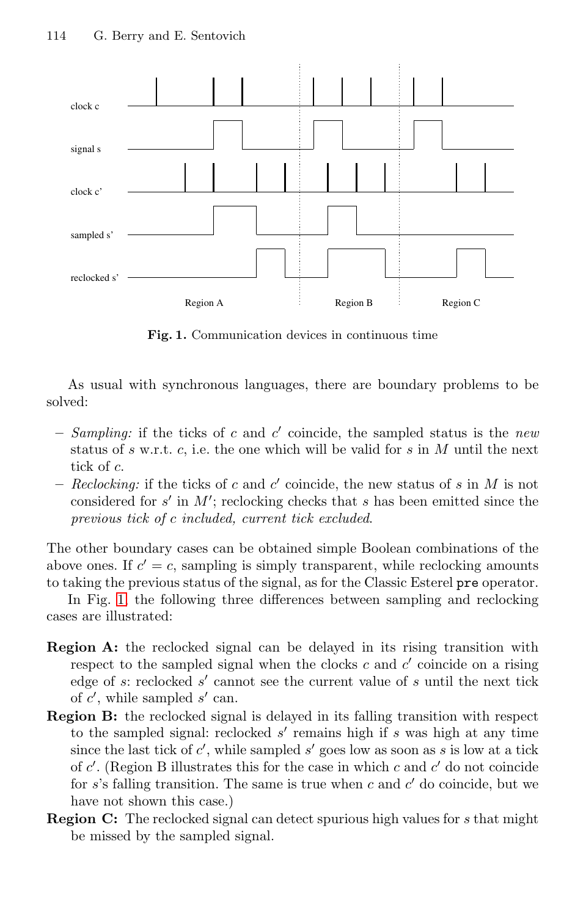<span id="page-4-0"></span>

**Fig. 1.** Communication devices in continuous time

As usual with synchronous languages, there are boundary problems to be solved:

- $-$  Sampling: if the ticks of c and c' coincide, the sampled status is the new status of s w.r.t. c, i.e. the one which will be valid for s in  $M$  until the next tick of c.
- Reclocking: if the ticks of c and c' coincide, the new status of s in M is not considered for  $s'$  in  $M'$ ; reclocking checks that s has been emitted since the previous tick of c included, current tick excluded.

The other boundary cases can be obtained simple Boolean combinations of the above ones. If  $c' = c$ , sampling is simply transparent, while reclocking amounts to taking the previous status of the signal, as for the Classic Esterel pre operator.

In Fig. 1, the following three differences between sampling and reclocking cases are illustrated:

- **Region A:** the reclocked signal can be delayed in its rising transition with respect to the sampled signal when the clocks  $c$  and  $c'$  coincide on a rising edge of  $s$ : reclocked  $s'$  cannot see the current value of  $s$  until the next tick of  $c'$ , while sampled  $s'$  can.
- **Region B:** the reclocked signal is delayed in its falling transition with respect to the sampled signal: reclocked  $s'$  remains high if s was high at any time since the last tick of  $c'$ , while sampled  $s'$  goes low as soon as s is low at a tick of  $c'$ . (Region B illustrates this for the case in which c and  $c'$  do not coincide for s's falling transition. The same is true when  $c$  and  $c'$  do coincide, but we have not shown this case.)
- **Region C:** The reclocked signal can detect spurious high values for s that might be missed by the sampled signal.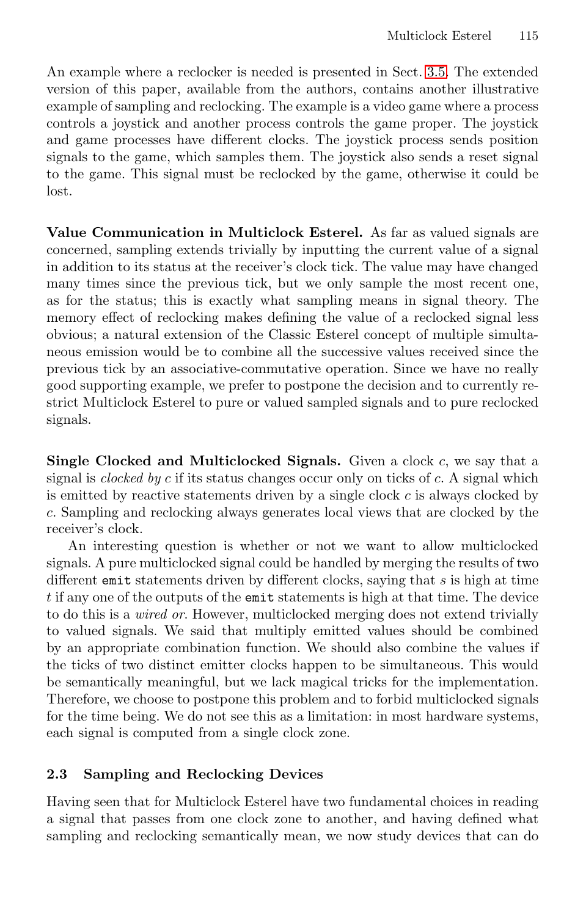<span id="page-5-0"></span>An example where a reclocker is needed is presented in Sect. [3.5.](#page-13-0) The extended version of this paper, available from the authors, contains another illustrative example of sampling and reclocking. The example is a video game where a process controls a joystick and another process controls the game proper. The joystick and game processes have different clocks. The joystick process sends position signals to the game, which samples them. The joystick also sends a reset signal to the game. This signal must be reclocked by the game, otherwise it could be lost.

**Value Communication in Multiclock Esterel.** As far as valued signals are concerned, sampling extends trivially by inputting the current value of a signal in addition to its status at the receiver's clock tick. The value may have changed many times since the previous tick, but we only sample the most recent one, as for the status; this is exactly what sampling means in signal theory. The memory effect of reclocking makes defining the value of a reclocked signal less obvious; a natural extension of the Classic Esterel concept of multiple simultaneous emission would be to combine all the successive values received since the previous tick by an associative-commutative operation. Since we have no really good supporting example, we prefer to postpone the decision and to currently restrict Multiclock Esterel to pure or valued sampled signals and to pure reclocked signals.

**Single Clocked and Multiclocked Signals.** Given a clock c, we say that a signal is *clocked by c* if its status changes occur only on ticks of c. A signal which is emitted by reactive statements driven by a single clock  $c$  is always clocked by c. Sampling and reclocking always generates local views that are clocked by the receiver's clock.

An interesting question is whether or not we want to allow multiclocked signals. A pure multiclocked signal could be handled by merging the results of two different emit statements driven by different clocks, saying that  $s$  is high at time t if any one of the outputs of the emit statements is high at that time. The device to do this is a *wired or.* However, multiclocked merging does not extend trivially to valued signals. We said that multiply emitted values should be combined by an appropriate combination function. We should also combine the values if the ticks of two distinct emitter clocks happen to be simultaneous. This would be semantically meaningful, but we lack magical tricks for the implementation. Therefore, we choose to postpone this problem and to forbid multiclocked signals for the time being. We do not see this as a limitation: in most hardware systems, each signal is computed from a single clock zone.

## **2.3 Sampling and Reclocking Devices**

Having seen that for Multiclock Esterel have two fundamental choices in reading a signal that passes from one clock zone to another, and having defined what sampling and reclocking semantically mean, we now study devices that can do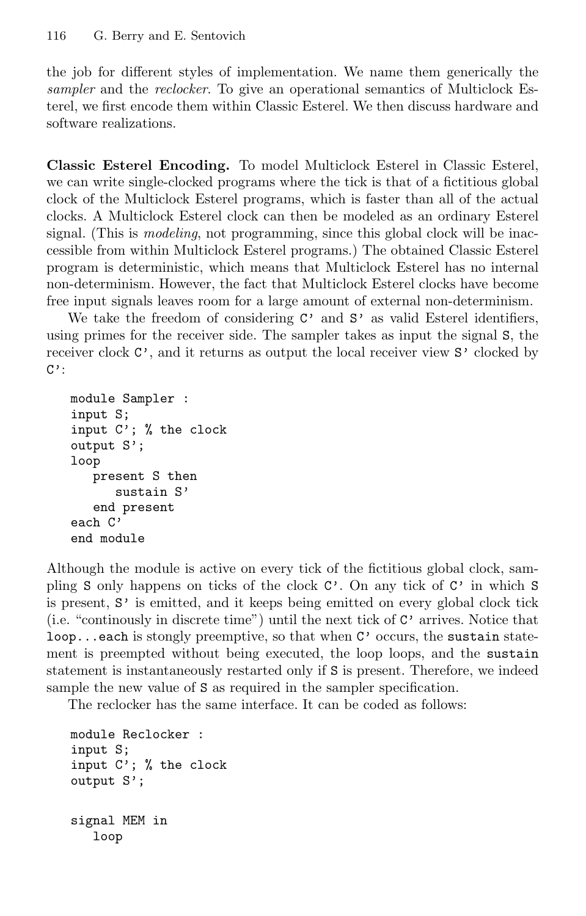the job for different styles of implementation. We name them generically the sampler and the reclocker. To give an operational semantics of Multiclock Esterel, we first encode them within Classic Esterel. We then discuss hardware and software realizations.

**Classic Esterel Encoding.** To model Multiclock Esterel in Classic Esterel, we can write single-clocked programs where the tick is that of a fictitious global clock of the Multiclock Esterel programs, which is faster than all of the actual clocks. A Multiclock Esterel clock can then be modeled as an ordinary Esterel signal. (This is *modeling*, not programming, since this global clock will be inaccessible from within Multiclock Esterel programs.) The obtained Classic Esterel program is deterministic, which means that Multiclock Esterel has no internal non-determinism. However, the fact that Multiclock Esterel clocks have become free input signals leaves room for a large amount of external non-determinism.

We take the freedom of considering  $C'$  and  $S'$  as valid Esterel identifiers, using primes for the receiver side. The sampler takes as input the signal S, the receiver clock  $C'$ , and it returns as output the local receiver view  $S'$  clocked by  $C'$ :

```
module Sampler :
input S;
input C'; % the clock
output S';
loop
   present S then
      sustain S'
   end present
each C'
end module
```
Although the module is active on every tick of the fictitious global clock, sampling S only happens on ticks of the clock C'. On any tick of C' in which S is present, S' is emitted, and it keeps being emitted on every global clock tick (i.e. "continously in discrete time") until the next tick of C' arrives. Notice that loop...each is stongly preemptive, so that when C' occurs, the sustain statement is preempted without being executed, the loop loops, and the sustain statement is instantaneously restarted only if S is present. Therefore, we indeed sample the new value of S as required in the sampler specification.

The reclocker has the same interface. It can be coded as follows:

```
module Reclocker :
input S;
input C'; % the clock
output S';
signal MEM in
   loop
```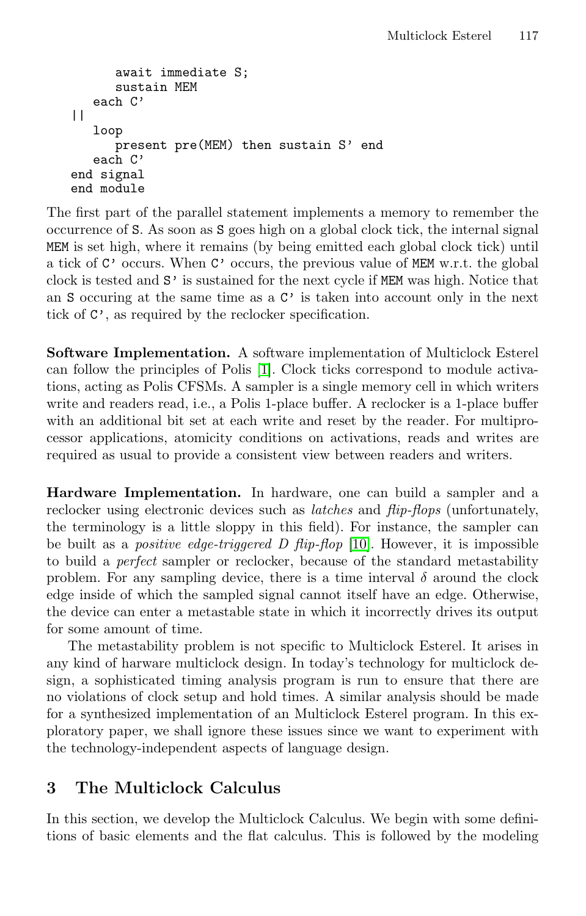```
await immediate S;
      sustain MEM
   each C'
| \ |loop
      present pre(MEM) then sustain S' end
   each C'
end signal
end module
```
The first part of the parallel statement implements a memory to remember the occurrence of S. As soon as S goes high on a global clock tick, the internal signal MEM is set high, where it remains (by being emitted each global clock tick) until a tick of C' occurs. When C' occurs, the previous value of MEM w.r.t. the global clock is tested and S' is sustained for the next cycle if MEM was high. Notice that an S occuring at the same time as a  $C'$  is taken into account only in the next tick of C', as required by the reclocker specification.

**Software Implementation.** A software implementation of Multiclock Esterel can follow the principles of Polis [\[1\]](#page-15-0). Clock ticks correspond to module activations, acting as Polis CFSMs. A sampler is a single memory cell in which writers write and readers read, i.e., a Polis 1-place buffer. A reclocker is a 1-place buffer with an additional bit set at each write and reset by the reader. For multiprocessor applications, atomicity conditions on activations, reads and writes are required as usual to provide a consistent view between readers and writers.

**Hardware Implementation.** In hardware, one can build a sampler and a reclocker using electronic devices such as *latches* and *flip-flops* (unfortunately, the terminology is a little sloppy in this field). For instance, the sampler can be built as a *positive edge-triggered D flip-flop* [\[10\]](#page-15-0). However, it is impossible to build a perfect sampler or reclocker, because of the standard metastability problem. For any sampling device, there is a time interval  $\delta$  around the clock edge inside of which the sampled signal cannot itself have an edge. Otherwise, the device can enter a metastable state in which it incorrectly drives its output for some amount of time.

The metastability problem is not specific to Multiclock Esterel. It arises in any kind of harware multiclock design. In today's technology for multiclock design, a sophisticated timing analysis program is run to ensure that there are no violations of clock setup and hold times. A similar analysis should be made for a synthesized implementation of an Multiclock Esterel program. In this exploratory paper, we shall ignore these issues since we want to experiment with the technology-independent aspects of language design.

# **3 The Multiclock Calculus**

In this section, we develop the Multiclock Calculus. We begin with some definitions of basic elements and the flat calculus. This is followed by the modeling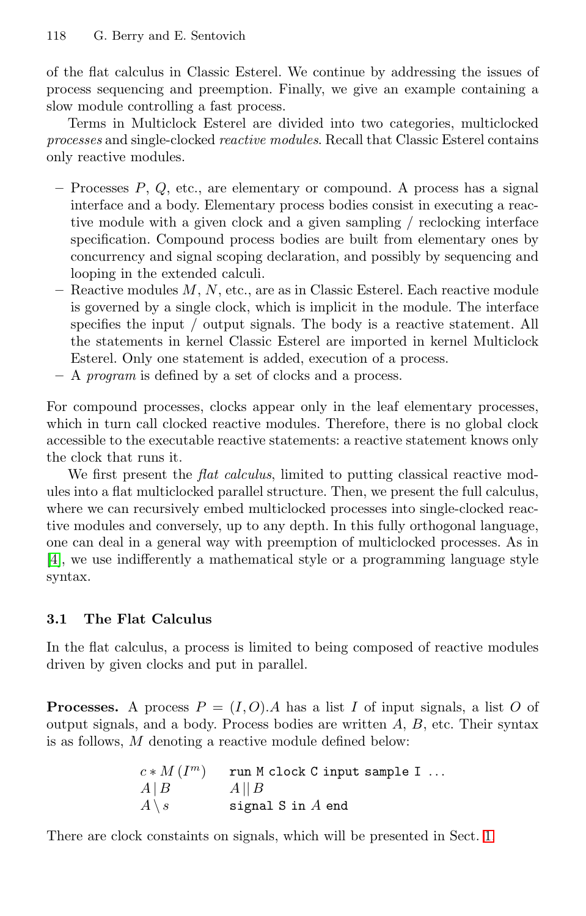of the flat calculus in Classic Esterel. We continue by addressing the issues of process sequencing and preemption. Finally, we give an example containing a slow module controlling a fast process.

Terms in Multiclock Esterel are divided into two categories, multiclocked processes and single-clocked reactive modules. Recall that Classic Esterel contains only reactive modules.

- **–** Processes P, Q, etc., are elementary or compound. A process has a signal interface and a body. Elementary process bodies consist in executing a reactive module with a given clock and a given sampling / reclocking interface specification. Compound process bodies are built from elementary ones by concurrency and signal scoping declaration, and possibly by sequencing and looping in the extended calculi.
- **–** Reactive modules M, N, etc., are as in Classic Esterel. Each reactive module is governed by a single clock, which is implicit in the module. The interface specifies the input / output signals. The body is a reactive statement. All the statements in kernel Classic Esterel are imported in kernel Multiclock Esterel. Only one statement is added, execution of a process.
- **–** A program is defined by a set of clocks and a process.

For compound processes, clocks appear only in the leaf elementary processes, which in turn call clocked reactive modules. Therefore, there is no global clock accessible to the executable reactive statements: a reactive statement knows only the clock that runs it.

We first present the *flat calculus*, limited to putting classical reactive modules into a flat multiclocked parallel structure. Then, we present the full calculus, where we can recursively embed multiclocked processes into single-clocked reactive modules and conversely, up to any depth. In this fully orthogonal language, one can deal in a general way with preemption of multiclocked processes. As in [\[4\]](#page-15-0), we use indifferently a mathematical style or a programming language style syntax.

## **3.1 The Flat Calculus**

In the flat calculus, a process is limited to being composed of reactive modules driven by given clocks and put in parallel.

**Processes.** A process  $P = (I, O)$ . A has a list I of input signals, a list O of output signals, and a body. Process bodies are written A, B, etc. Their syntax is as follows, M denoting a reactive module defined below:

| $c * M (Im)$    | run M clock C input sample I |
|-----------------|------------------------------|
| $A \mid B$      | A  B                         |
| $A \setminus s$ | signal S in $A$ end          |

There are clock constaints on signals, which will be presented in Sect. [1.](#page-9-0)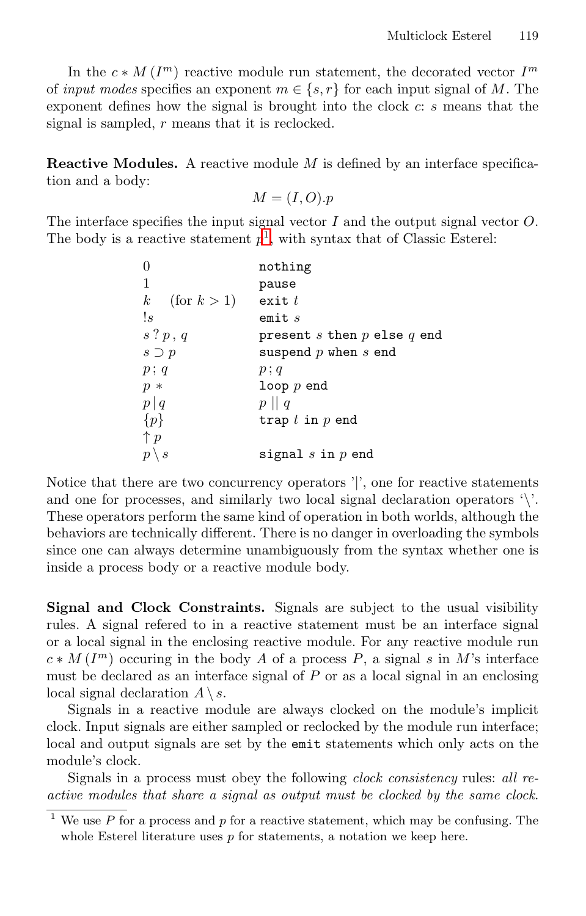<span id="page-9-0"></span>In the  $c * M (I<sup>m</sup>)$  reactive module run statement, the decorated vector  $I<sup>m</sup>$ of *input modes* specifies an exponent  $m \in \{s, r\}$  for each input signal of M. The exponent defines how the signal is brought into the clock  $c: s$  means that the signal is sampled, r means that it is reclocked.

**Reactive Modules.** A reactive module M is defined by an interface specification and a body:

$$
M = (I, O).p
$$

The interface specifies the input signal vector  $I$  and the output signal vector  $O$ . The body is a reactive statement  $p^1$ , with syntax that of Classic Esterel:

| $\theta$         | nothing                           |
|------------------|-----------------------------------|
| 1                | pause                             |
| k (for $k > 1$ ) | exist t                           |
| !s               | emit s                            |
| $s$ ? $p, q$     | present $s$ then $p$ else $q$ end |
| $s \supset p$    | suspend $p$ when $s$ end          |
| $p$ ; q          | p:q                               |
| $p *$            | loop $p$ end                      |
| p q              | $p \parallel q$                   |
| $\{p\}$          | trap $t$ in $p$ end               |
| $\uparrow p$     |                                   |
| $\sqrt{s}$       | signal $s$ in $p$ end             |

Notice that there are two concurrency operators '|', one for reactive statements and one for processes, and similarly two local signal declaration operators  $\langle \cdot \rangle$ . These operators perform the same kind of operation in both worlds, although the behaviors are technically different. There is no danger in overloading the symbols since one can always determine unambiguously from the syntax whether one is inside a process body or a reactive module body.

**Signal and Clock Constraints.** Signals are subject to the usual visibility rules. A signal refered to in a reactive statement must be an interface signal or a local signal in the enclosing reactive module. For any reactive module run  $c * M(I^m)$  occuring in the body A of a process P, a signal s in M's interface must be declared as an interface signal of  $P$  or as a local signal in an enclosing local signal declaration  $A \setminus s$ .

Signals in a reactive module are always clocked on the module's implicit clock. Input signals are either sampled or reclocked by the module run interface; local and output signals are set by the emit statements which only acts on the module's clock.

Signals in a process must obey the following clock consistency rules: all reactive modules that share a signal as output must be clocked by the same clock.

We use  $P$  for a process and  $p$  for a reactive statement, which may be confusing. The whole Esterel literature uses  $p$  for statements, a notation we keep here.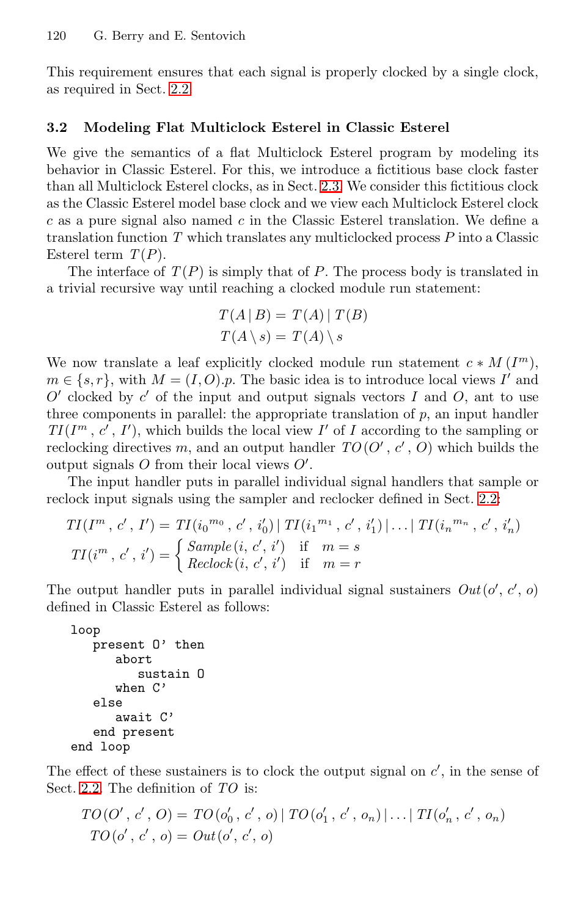This requirement ensures that each signal is properly clocked by a single clock, as required in Sect. [2.2.](#page-3-0)

### **3.2 Modeling Flat Multiclock Esterel in Classic Esterel**

We give the semantics of a flat Multiclock Esterel program by modeling its behavior in Classic Esterel. For this, we introduce a fictitious base clock faster than all Multiclock Esterel clocks, as in Sect. [2.3.](#page-5-0) We consider this fictitious clock as the Classic Esterel model base clock and we view each Multiclock Esterel clock c as a pure signal also named c in the Classic Esterel translation. We define a translation function  $T$  which translates any multiclocked process  $P$  into a Classic Esterel term  $T(P)$ .

The interface of  $T(P)$  is simply that of P. The process body is translated in a trivial recursive way until reaching a clocked module run statement:

$$
T(A | B) = T(A) | T(B)
$$
  

$$
T(A \setminus s) = T(A) \setminus s
$$

We now translate a leaf explicitly clocked module run statement  $c * M(I<sup>m</sup>)$ ,  $m \in \{s, r\}$ , with  $M = (I, O)$ . The basic idea is to introduce local views I' and  $O'$  clocked by  $c'$  of the input and output signals vectors I and O, ant to use three components in parallel: the appropriate translation of  $p$ , an input handler  $TI(I<sup>m</sup>, c', I')$ , which builds the local view I' of I according to the sampling or reclocking directives m, and an output handler  $TO(O', c', O)$  which builds the output signals  $O$  from their local views  $O'$ .

The input handler puts in parallel individual signal handlers that sample or reclock input signals using the sampler and reclocker defined in Sect. [2.2:](#page-2-0)

$$
TI(I^{m}, c', I') = TI(i_{0}^{m_{0}}, c', i'_{0}) | TI(i_{1}^{m_{1}}, c', i'_{1})|...| TI(i_{n}^{m_{n}}, c', i'_{n})
$$
  

$$
TI(i^{m}, c', i') = \begin{cases} Sample(i, c', i') & \text{if } m = s \\ Reclock(i, c', i') & \text{if } m = r \end{cases}
$$

The output handler puts in parallel individual signal sustainers  $Out(o', c', o)$ defined in Classic Esterel as follows:

```
loop
   present O' then
      abort
         sustain O
      when C'
   else
      await C'
   end present
end loop
```
The effect of these sustainers is to clock the output signal on  $c'$ , in the sense of Sect. [2.2.](#page-3-0) The definition of TO is:

$$
TO(O', c', O) = TO(o'_0, c', o) | TO(o'_1, c', o_n) | ... | TI(o'_n, c', o_n)
$$
  
 $TO(o', c', o) = Out(o', c', o)$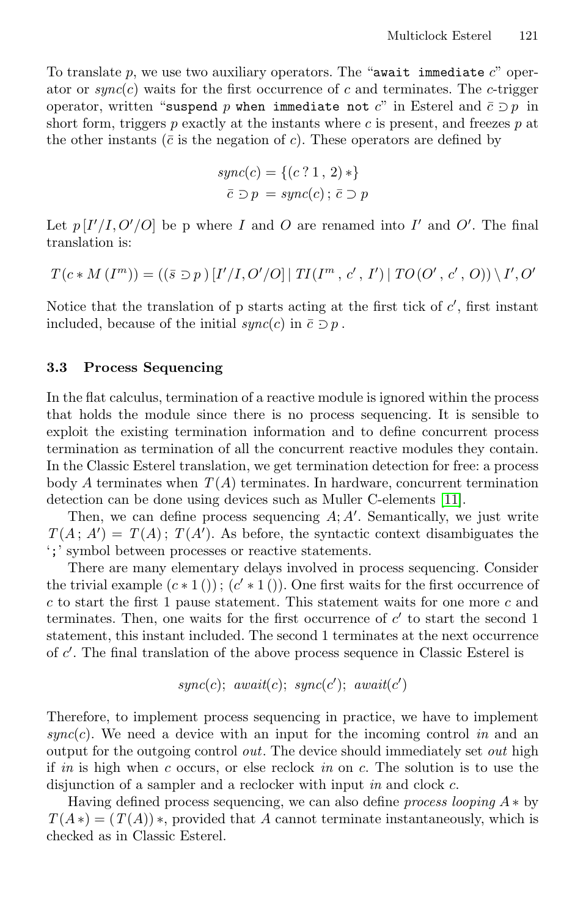<span id="page-11-0"></span>To translate p, we use two auxiliary operators. The "await immediate  $c$ " operator or  $sync(c)$  waits for the first occurrence of c and terminates. The c-trigger operator, written "suspend p when immediate not c" in Esterel and  $\bar{c} \supset p$  in short form, triggers  $p$  exactly at the instants where c is present, and freezes  $p$  at the other instants ( $\bar{c}$  is the negation of c). These operators are defined by

$$
sync(c) = \{ (c ? 1, 2) * \}
$$

$$
\bar{c} \supset p = sync(c) ; \bar{c} \supset p
$$

Let  $p[I'/I, O'/O]$  be p where I and O are renamed into I' and O'. The final translation is:

$$
T(c * M (Im)) = ((\bar{s} \supset p) [I'/I, O'/O] | TI(Im, c', I') | TO(O', c', O)) \setminus I', O'
$$

Notice that the translation of  $p$  starts acting at the first tick of  $c'$ , first instant included, because of the initial  $sync(c)$  in  $\bar{c} \supset p$ .

#### **3.3 Process Sequencing**

In the flat calculus, termination of a reactive module is ignored within the process that holds the module since there is no process sequencing. It is sensible to exploit the existing termination information and to define concurrent process termination as termination of all the concurrent reactive modules they contain. In the Classic Esterel translation, we get termination detection for free: a process body A terminates when  $T(A)$  terminates. In hardware, concurrent termination detection can be done using devices such as Muller C-elements [\[11\]](#page-15-0).

Then, we can define process sequencing  $A; A'$ . Semantically, we just write  $T(A; A') = T(A); T(A')$ . As before, the syntactic context disambiguates the ';' symbol between processes or reactive statements.

There are many elementary delays involved in process sequencing. Consider the trivial example  $(c * 1())$ ;  $(c' * 1())$ . One first waits for the first occurrence of  $c$  to start the first 1 pause statement. This statement waits for one more  $c$  and terminates. Then, one waits for the first occurrence of  $c'$  to start the second 1 statement, this instant included. The second 1 terminates at the next occurrence of  $c'$ . The final translation of the above process sequence in Classic Esterel is

$$
sync(c); \; await(c); \; sync(c'); \; await(c')
$$

Therefore, to implement process sequencing in practice, we have to implement  $sync(c)$ . We need a device with an input for the incoming control in and an output for the outgoing control *out*. The device should immediately set *out* high if in is high when c occurs, or else reclock in on c. The solution is to use the disjunction of a sampler and a reclocker with input in and clock c.

Having defined process sequencing, we can also define *process looping*  $A * by$  $T(A*)=(T(A))$  ∗, provided that A cannot terminate instantaneously, which is checked as in Classic Esterel.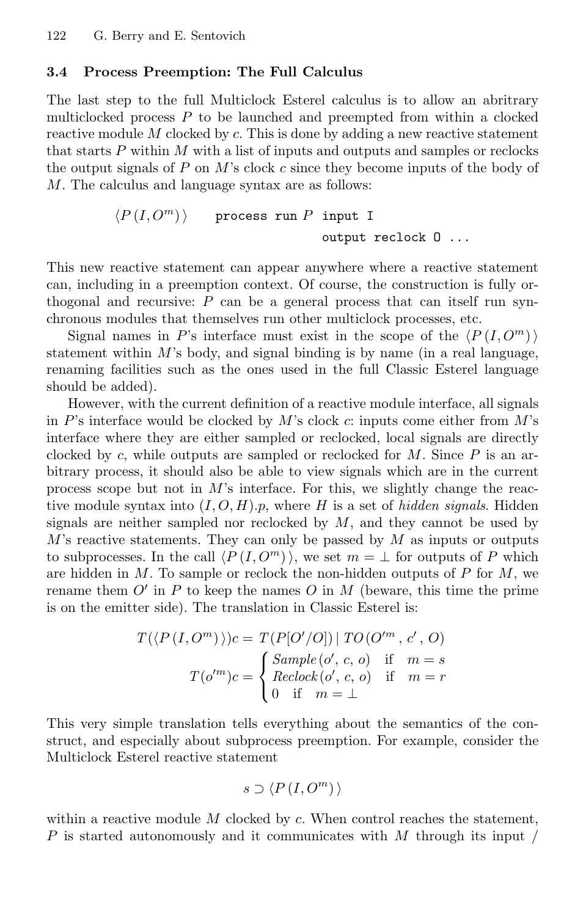#### **3.4 Process Preemption: The Full Calculus**

The last step to the full Multiclock Esterel calculus is to allow an abritrary multiclocked process  $P$  to be launched and preempted from within a clocked reactive module M clocked by c. This is done by adding a new reactive statement that starts  $P$  within  $M$  with a list of inputs and outputs and samples or reclocks the output signals of P on M's clock c since they become inputs of the body of M. The calculus and language syntax are as follows:

$$
\langle P(I, O^m) \rangle \qquad \text{process run } P \text{ input I} \\ \text{output reclock 0 } \dots
$$

This new reactive statement can appear anywhere where a reactive statement can, including in a preemption context. Of course, the construction is fully orthogonal and recursive:  $P$  can be a general process that can itself run synchronous modules that themselves run other multiclock processes, etc.

Signal names in P's interface must exist in the scope of the  $\langle P(I, O^m) \rangle$ statement within  $M$ 's body, and signal binding is by name (in a real language, renaming facilities such as the ones used in the full Classic Esterel language should be added).

However, with the current definition of a reactive module interface, all signals in P's interface would be clocked by M's clock c: inputs come either from M's interface where they are either sampled or reclocked, local signals are directly clocked by  $c$ , while outputs are sampled or reclocked for  $M$ . Since  $P$  is an arbitrary process, it should also be able to view signals which are in the current process scope but not in  $M$ 's interface. For this, we slightly change the reactive module syntax into  $(I, O, H)$ .p, where H is a set of hidden signals. Hidden signals are neither sampled nor reclocked by  $M$ , and they cannot be used by M's reactive statements. They can only be passed by M as inputs or outputs to subprocesses. In the call  $\langle P(I, O^m) \rangle$ , we set  $m = \bot$  for outputs of P which are hidden in  $M$ . To sample or reclock the non-hidden outputs of  $P$  for  $M$ , we rename them  $O'$  in P to keep the names O in M (beware, this time the prime is on the emitter side). The translation in Classic Esterel is:

$$
T(\langle P(I, O^m) \rangle)c = T(P[O'/O]) | TO(O'^m, c', O)
$$

$$
T(o'^m)c = \begin{cases} Sample(o', c, o) & \text{if } m = s \\ Reclock(o', c, o) & \text{if } m = r \\ 0 & \text{if } m = \bot \end{cases}
$$

This very simple translation tells everything about the semantics of the construct, and especially about subprocess preemption. For example, consider the Multiclock Esterel reactive statement

$$
s \supset \langle P(I, O^m) \rangle
$$

within a reactive module  $M$  clocked by  $c$ . When control reaches the statement,  $P$  is started autonomously and it communicates with  $M$  through its input  $/$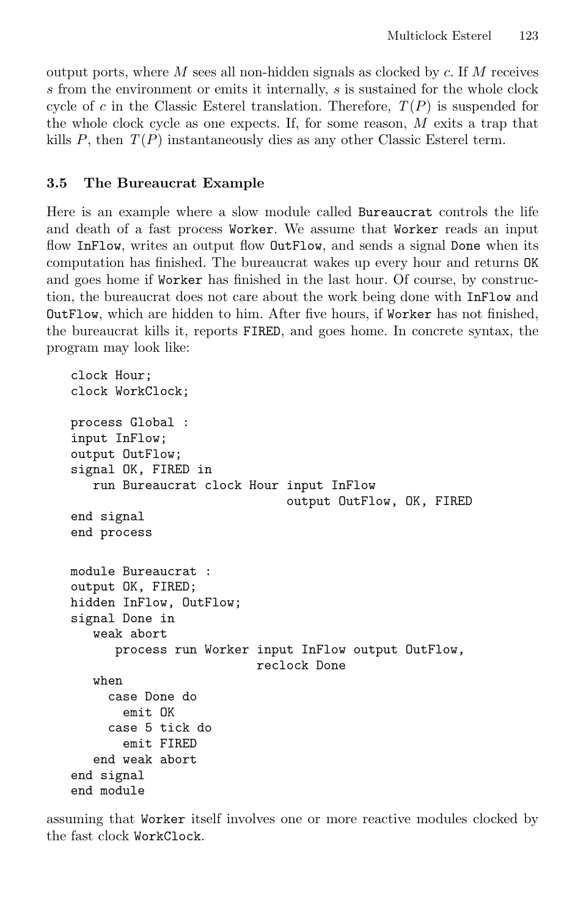<span id="page-13-0"></span>output ports, where  $M$  sees all non-hidden signals as clocked by  $c$ . If  $M$  receives s from the environment or emits it internally, s is sustained for the whole clock cycle of c in the Classic Esterel translation. Therefore,  $T(P)$  is suspended for the whole clock cycle as one expects. If, for some reason, M exits a trap that kills  $P$ , then  $T(P)$  instantaneously dies as any other Classic Esterel term.

### **3.5 The Bureaucrat Example**

Here is an example where a slow module called Bureaucrat controls the life and death of a fast process Worker. We assume that Worker reads an input flow InFlow, writes an output flow OutFlow, and sends a signal Done when its computation has finished. The bureaucrat wakes up every hour and returns OK and goes home if Worker has finished in the last hour. Of course, by construction, the bureaucrat does not care about the work being done with InFlow and OutFlow, which are hidden to him. After five hours, if Worker has not finished, the bureaucrat kills it, reports FIRED, and goes home. In concrete syntax, the program may look like:

```
clock Hour;
clock WorkClock;
process Global :
input InFlow;
output OutFlow;
signal OK, FIRED in
   run Bureaucrat clock Hour input InFlow
                              output OutFlow, OK, FIRED
end signal
end process
module Bureaucrat :
output OK, FIRED;
hidden InFlow, OutFlow;
signal Done in
   weak abort
      process run Worker input InFlow output OutFlow,
                          reclock Done
   when
     case Done do
       emit OK
     case 5 tick do
       emit FIRED
   end weak abort
end signal
end module
```
assuming that Worker itself involves one or more reactive modules clocked by the fast clock WorkClock.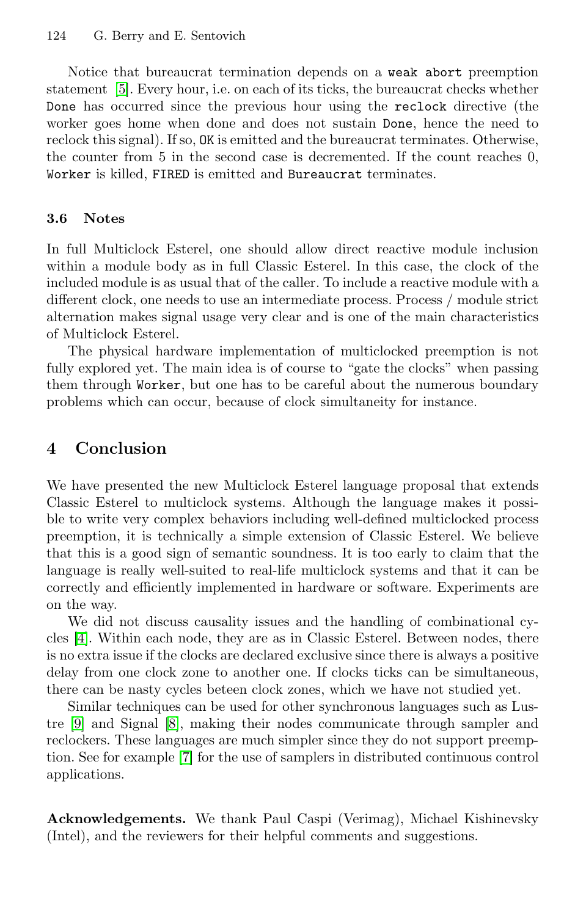<span id="page-14-0"></span>Notice that bureaucrat termination depends on a weak abort preemption statement [\[5\]](#page-15-0). Every hour, i.e. on each of its ticks, the bureaucrat checks whether Done has occurred since the previous hour using the reclock directive (the worker goes home when done and does not sustain Done, hence the need to reclock this signal). If so, OK is emitted and the bureaucrat terminates. Otherwise, the counter from 5 in the second case is decremented. If the count reaches 0, Worker is killed, FIRED is emitted and Bureaucrat terminates.

### **3.6 Notes**

In full Multiclock Esterel, one should allow direct reactive module inclusion within a module body as in full Classic Esterel. In this case, the clock of the included module is as usual that of the caller. To include a reactive module with a different clock, one needs to use an intermediate process. Process / module strict alternation makes signal usage very clear and is one of the main characteristics of Multiclock Esterel.

The physical hardware implementation of multiclocked preemption is not fully explored yet. The main idea is of course to "gate the clocks" when passing them through Worker, but one has to be careful about the numerous boundary problems which can occur, because of clock simultaneity for instance.

# **4 Conclusion**

We have presented the new Multiclock Esterel language proposal that extends Classic Esterel to multiclock systems. Although the language makes it possible to write very complex behaviors including well-defined multiclocked process preemption, it is technically a simple extension of Classic Esterel. We believe that this is a good sign of semantic soundness. It is too early to claim that the language is really well-suited to real-life multiclock systems and that it can be correctly and efficiently implemented in hardware or software. Experiments are on the way.

We did not discuss causality issues and the handling of combinational cycles [\[4\]](#page-15-0). Within each node, they are as in Classic Esterel. Between nodes, there is no extra issue if the clocks are declared exclusive since there is always a positive delay from one clock zone to another one. If clocks ticks can be simultaneous, there can be nasty cycles beteen clock zones, which we have not studied yet.

Similar techniques can be used for other synchronous languages such as Lustre [\[9\]](#page-15-0) and Signal [\[8\]](#page-15-0), making their nodes communicate through sampler and reclockers. These languages are much simpler since they do not support preemption. See for example [\[7\]](#page-15-0) for the use of samplers in distributed continuous control applications.

**Acknowledgements.** We thank Paul Caspi (Verimag), Michael Kishinevsky (Intel), and the reviewers for their helpful comments and suggestions.